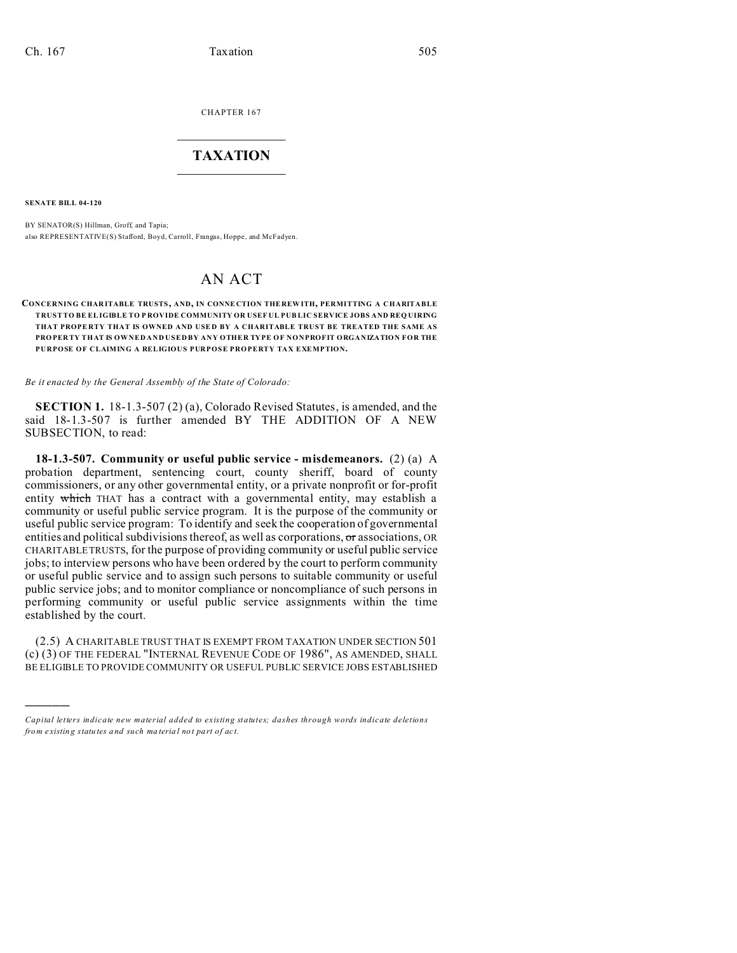CHAPTER 167  $\overline{\phantom{a}}$  , where  $\overline{\phantom{a}}$ 

## **TAXATION**  $\_$

**SENATE BILL 04-120**

)))))

BY SENATOR(S) Hillman, Groff, and Tapia; also REPRESENTATIVE(S) Stafford, Boyd, Carroll, Frangas, Hoppe, and McFadyen.

## AN ACT

## **CONCERNING CHAR ITABLE TRUSTS, AND, IN CONNE CTION THE REW ITH, PERMITTING A CHARITABLE TRUST TO BE EL IGIBLE TO P ROVIDE COMMUNITY OR USEF UL PUB LIC SERVICE JOBS AND REQ UIRING** THAT PROPERTY THAT IS OWNED AND USED BY A CHARITABLE TRUST BE TREATED THE SAME AS **PRO PER TY THAT IS OWNED AND USED BY ANY OTHER TYPE OF NONPROFIT ORGANIZATION FOR THE PURPOSE OF CLAIMING A RELIGIOUS PURPOSE PROPERTY TAX EXEMPTION.**

*Be it enacted by the General Assembly of the State of Colorado:*

**SECTION 1.** 18-1.3-507 (2) (a), Colorado Revised Statutes, is amended, and the said 18-1.3-507 is further amended BY THE ADDITION OF A NEW SUBSECTION, to read:

**18-1.3-507. Community or useful public service - misdemeanors.** (2) (a) A probation department, sentencing court, county sheriff, board of county commissioners, or any other governmental entity, or a private nonprofit or for-profit entity which THAT has a contract with a governmental entity, may establish a community or useful public service program. It is the purpose of the community or useful public service program: To identify and seek the cooperation of governmental entities and political subdivisions thereof, as well as corporations, or associations, OR CHARITABLE TRUSTS, for the purpose of providing community or useful public service jobs; to interview persons who have been ordered by the court to perform community or useful public service and to assign such persons to suitable community or useful public service jobs; and to monitor compliance or noncompliance of such persons in performing community or useful public service assignments within the time established by the court.

(2.5) A CHARITABLE TRUST THAT IS EXEMPT FROM TAXATION UNDER SECTION 501 (c) (3) OF THE FEDERAL "INTERNAL REVENUE CODE OF 1986", AS AMENDED, SHALL BE ELIGIBLE TO PROVIDE COMMUNITY OR USEFUL PUBLIC SERVICE JOBS ESTABLISHED

*Capital letters indicate new material added to existing statutes; dashes through words indicate deletions from e xistin g statu tes a nd such ma teria l no t pa rt of ac t.*